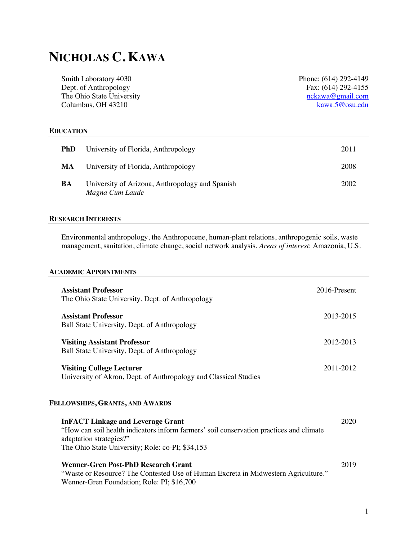# **NICHOLAS C. KAWA**

Smith Laboratory 4030 Dept. of Anthropology The Ohio State University Columbus, OH 43210

Phone: (614) 292-4149 Fax: (614) 292-4155 nckawa@gmail.com kawa.5@osu.edu

## **EDUCATION**

| <b>PhD</b> | University of Florida, Anthropology                                | 2011 |
|------------|--------------------------------------------------------------------|------|
| MA         | University of Florida, Anthropology                                | 2008 |
| BA         | University of Arizona, Anthropology and Spanish<br>Magna Cum Laude | 2002 |

# **RESEARCH INTERESTS**

Environmental anthropology, the Anthropocene, human-plant relations, anthropogenic soils, waste management, sanitation, climate change, social network analysis. *Areas of interest*: Amazonia, U.S.

## **ACADEMIC APPOINTMENTS**

| <b>Assistant Professor</b><br>The Ohio State University, Dept. of Anthropology                                                                                                                                     | 2016-Present |
|--------------------------------------------------------------------------------------------------------------------------------------------------------------------------------------------------------------------|--------------|
| <b>Assistant Professor</b><br>Ball State University, Dept. of Anthropology                                                                                                                                         | 2013-2015    |
| <b>Visiting Assistant Professor</b><br>Ball State University, Dept. of Anthropology                                                                                                                                | 2012-2013    |
| <b>Visiting College Lecturer</b><br>University of Akron, Dept. of Anthropology and Classical Studies                                                                                                               | 2011-2012    |
| FELLOWSHIPS, GRANTS, AND AWARDS                                                                                                                                                                                    |              |
| <b>InFACT Linkage and Leverage Grant</b><br>"How can soil health indicators inform farmers' soil conservation practices and climate<br>adaptation strategies?"<br>The Ohio State University; Role: co-PI; \$34,153 | 2020         |
| Wenner-Gren Post-PhD Research Grant<br>"Waste or Resource? The Contested Use of Human Excreta in Midwestern Agriculture."<br>Wenner-Gren Foundation; Role: PI; \$16,700                                            | 2019         |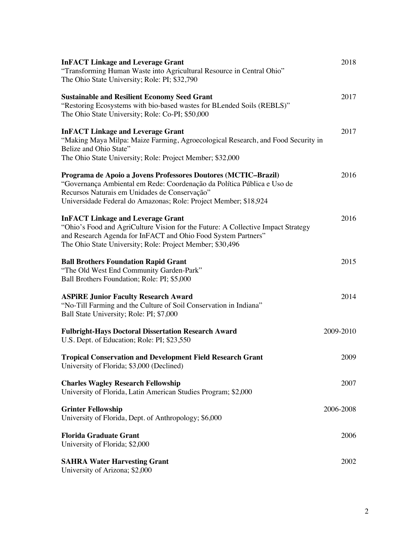| <b>InFACT Linkage and Leverage Grant</b>                                                                                                                                                                                                                       | 2018      |
|----------------------------------------------------------------------------------------------------------------------------------------------------------------------------------------------------------------------------------------------------------------|-----------|
| "Transforming Human Waste into Agricultural Resource in Central Ohio"<br>The Ohio State University; Role: PI; \$32,790                                                                                                                                         |           |
| <b>Sustainable and Resilient Economy Seed Grant</b><br>"Restoring Ecosystems with bio-based wastes for BLended Soils (REBLS)"<br>The Ohio State University; Role: Co-PI; \$50,000                                                                              | 2017      |
| <b>InFACT Linkage and Leverage Grant</b><br>"Making Maya Milpa: Maize Farming, Agroecological Research, and Food Security in<br>Belize and Ohio State"<br>The Ohio State University; Role: Project Member; \$32,000                                            | 2017      |
| Programa de Apoio a Jovens Professores Doutores (MCTIC-Brazil)<br>"Governança Ambiental em Rede: Coordenação da Política Pública e Uso de<br>Recursos Naturais em Unidades de Conservação"<br>Universidade Federal do Amazonas; Role: Project Member; \$18,924 | 2016      |
| <b>InFACT Linkage and Leverage Grant</b><br>"Ohio's Food and AgriCulture Vision for the Future: A Collective Impact Strategy<br>and Research Agenda for InFACT and Ohio Food System Partners"<br>The Ohio State University; Role: Project Member; \$30,496     | 2016      |
| <b>Ball Brothers Foundation Rapid Grant</b><br>"The Old West End Community Garden-Park"<br>Ball Brothers Foundation; Role: PI; \$5,000                                                                                                                         | 2015      |
| <b>ASPIRE Junior Faculty Research Award</b><br>"No-Till Farming and the Culture of Soil Conservation in Indiana"<br>Ball State University; Role: PI; \$7,000                                                                                                   | 2014      |
| <b>Fulbright-Hays Doctoral Dissertation Research Award</b><br>U.S. Dept. of Education; Role: PI; \$23,550                                                                                                                                                      | 2009-2010 |
| <b>Tropical Conservation and Development Field Research Grant</b><br>University of Florida; \$3,000 (Declined)                                                                                                                                                 | 2009      |
| <b>Charles Wagley Research Fellowship</b><br>University of Florida, Latin American Studies Program; \$2,000                                                                                                                                                    | 2007      |
| <b>Grinter Fellowship</b><br>University of Florida, Dept. of Anthropology; \$6,000                                                                                                                                                                             | 2006-2008 |
| <b>Florida Graduate Grant</b><br>University of Florida; \$2,000                                                                                                                                                                                                | 2006      |
| <b>SAHRA Water Harvesting Grant</b><br>University of Arizona; \$2,000                                                                                                                                                                                          | 2002      |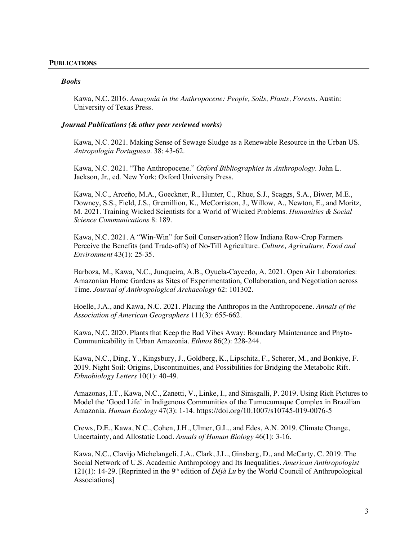### **PUBLICATIONS**

### *Books*

Kawa, N.C. 2016. *Amazonia in the Anthropocene: People, Soils, Plants, Forests*. Austin: University of Texas Press.

### *Journal Publications (& other peer reviewed works)*

Kawa, N.C. 2021. Making Sense of Sewage Sludge as a Renewable Resource in the Urban US. *Antropologia Portuguesa*. 38: 43-62.

Kawa, N.C. 2021. "The Anthropocene." *Oxford Bibliographies in Anthropology*. John L. Jackson, Jr., ed. New York: Oxford University Press.

Kawa, N.C., Arceño, M.A., Goeckner, R., Hunter, C., Rhue, S.J., Scaggs, S.A., Biwer, M.E., Downey, S.S., Field, J.S., Gremillion, K., McCorriston, J., Willow, A., Newton, E., and Moritz, M. 2021. Training Wicked Scientists for a World of Wicked Problems. *Humanities & Social Science Communications* 8: 189.

Kawa, N.C. 2021. A "Win-Win" for Soil Conservation? How Indiana Row-Crop Farmers Perceive the Benefits (and Trade-offs) of No-Till Agriculture*. Culture, Agriculture, Food and Environment* 43(1): 25-35.

Barboza, M., Kawa, N.C., Junqueira, A.B., Oyuela-Caycedo, A. 2021. Open Air Laboratories: Amazonian Home Gardens as Sites of Experimentation, Collaboration, and Negotiation across Time. *Journal of Anthropological Archaeology* 62: 101302.

Hoelle, J.A., and Kawa, N.C. 2021. Placing the Anthropos in the Anthropocene*. Annals of the Association of American Geographers* 111(3): 655-662.

Kawa, N.C. 2020. Plants that Keep the Bad Vibes Away: Boundary Maintenance and Phyto-Communicability in Urban Amazonia. *Ethnos* 86(2): 228-244.

Kawa, N.C., Ding, Y., Kingsbury, J., Goldberg, K., Lipschitz, F., Scherer, M., and Bonkiye, F. 2019. Night Soil: Origins, Discontinuities, and Possibilities for Bridging the Metabolic Rift. *Ethnobiology Letters* 10(1): 40-49.

Amazonas, I.T., Kawa, N.C., Zanetti, V., Linke, I., and Sinisgalli, P. 2019. Using Rich Pictures to Model the 'Good Life' in Indigenous Communities of the Tumucumaque Complex in Brazilian Amazonia. *Human Ecology* 47(3): 1-14. https://doi.org/10.1007/s10745-019-0076-5

Crews, D.E., Kawa, N.C., Cohen, J.H., Ulmer, G.L., and Edes, A.N. 2019. Climate Change, Uncertainty, and Allostatic Load. *Annals of Human Biology* 46(1): 3-16.

Kawa, N.C., Clavijo Michelangeli, J.A., Clark, J.L., Ginsberg, D., and McCarty, C. 2019*.* The Social Network of U.S. Academic Anthropology and Its Inequalities. *American Anthropologist* 121(1): 14-29. [Reprinted in the 9<sup>th</sup> edition of  $D\acute{e}i\grave{a}$  Lu by the World Council of Anthropological Associations]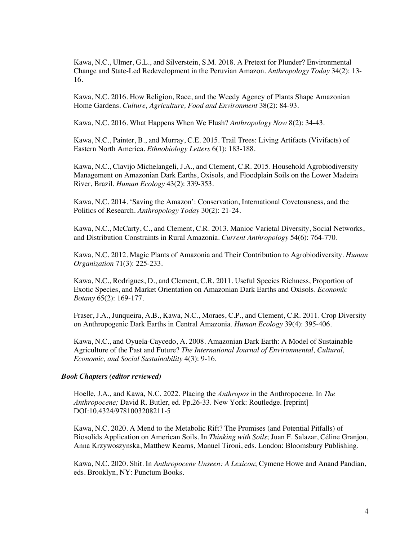Kawa, N.C., Ulmer, G.L., and Silverstein, S.M. 2018. A Pretext for Plunder? Environmental Change and State-Led Redevelopment in the Peruvian Amazon. *Anthropology Today* 34(2): 13- 16.

Kawa, N.C. 2016. How Religion, Race, and the Weedy Agency of Plants Shape Amazonian Home Gardens. *Culture, Agriculture, Food and Environment* 38(2): 84-93.

Kawa, N.C. 2016. What Happens When We Flush? *Anthropology Now* 8(2): 34-43.

Kawa, N.C., Painter, B., and Murray, C.E. 2015. Trail Trees: Living Artifacts (Vivifacts) of Eastern North America. *Ethnobiology Letters* 6(1): 183-188.

Kawa, N.C., Clavijo Michelangeli, J.A., and Clement, C.R. 2015. Household Agrobiodiversity Management on Amazonian Dark Earths, Oxisols, and Floodplain Soils on the Lower Madeira River, Brazil. *Human Ecology* 43(2): 339-353.

Kawa, N.C. 2014. 'Saving the Amazon': Conservation, International Covetousness, and the Politics of Research. *Anthropology Today* 30(2): 21-24.

Kawa, N.C., McCarty, C., and Clement, C.R. 2013. Manioc Varietal Diversity, Social Networks, and Distribution Constraints in Rural Amazonia. *Current Anthropology* 54(6): 764-770.

Kawa, N.C. 2012. Magic Plants of Amazonia and Their Contribution to Agrobiodiversity. *Human Organization* 71(3): 225-233.

Kawa, N.C., Rodrigues, D., and Clement, C.R. 2011. Useful Species Richness, Proportion of Exotic Species, and Market Orientation on Amazonian Dark Earths and Oxisols. *Economic Botany* 65(2): 169-177.

Fraser, J.A., Junqueira, A.B., Kawa, N.C., Moraes, C.P., and Clement, C.R. 2011. Crop Diversity on Anthropogenic Dark Earths in Central Amazonia. *Human Ecology* 39(4): 395-406.

Kawa, N.C., and Oyuela-Caycedo, A. 2008. Amazonian Dark Earth: A Model of Sustainable Agriculture of the Past and Future? *The International Journal of Environmental, Cultural, Economic, and Social Sustainability* 4(3): 9-16.

### *Book Chapters (editor reviewed)*

Hoelle, J.A., and Kawa, N.C. 2022. Placing the *Anthropos* in the Anthropocene. In *The Anthropocene;* David R. Butler, ed. Pp.26-33. New York: Routledge. [reprint] DOI:10.4324/9781003208211-5

Kawa, N.C. 2020. A Mend to the Metabolic Rift? The Promises (and Potential Pitfalls) of Biosolids Application on American Soils. In *Thinking with Soils*; Juan F. Salazar, Céline Granjou, Anna Krzywoszynska, Matthew Kearns, Manuel Tironi, eds. London: Bloomsbury Publishing.

Kawa, N.C. 2020. Shit. In *Anthropocene Unseen: A Lexicon*; Cymene Howe and Anand Pandian, eds. Brooklyn, NY: Punctum Books.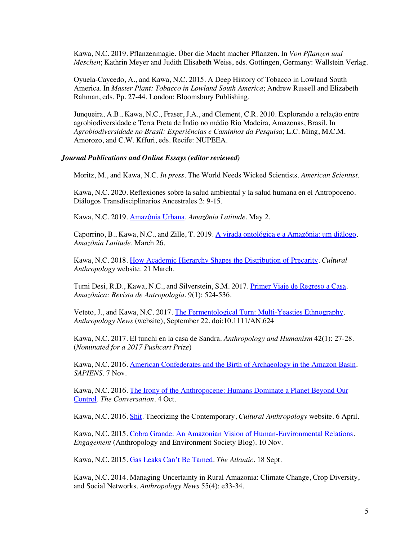Kawa, N.C. 2019. Pflanzenmagie. Über die Macht macher Pflanzen. In *Von Pflanzen und Meschen*; Kathrin Meyer and Judith Elisabeth Weiss, eds. Gottingen, Germany: Wallstein Verlag.

Oyuela-Caycedo, A., and Kawa, N.C. 2015*.* A Deep History of Tobacco in Lowland South America. In *Master Plant: Tobacco in Lowland South America*; Andrew Russell and Elizabeth Rahman, eds. Pp. 27-44. London: Bloomsbury Publishing.

Junqueira, A.B., Kawa, N.C., Fraser, J.A., and Clement, C.R. 2010. Explorando a relação entre agrobiodiversidade e Terra Preta de Índio no médio Rio Madeira, Amazonas, Brasil. In *Agrobiodiversidade no Brasil: Experiências e Caminhos da Pesquisa*; L.C. Ming, M.C.M. Amorozo, and C.W. Kffuri, eds. Recife: NUPEEA.

### *Journal Publications and Online Essays (editor reviewed)*

Moritz, M., and Kawa, N.C. *In press*. The World Needs Wicked Scientists. *American Scientist*.

Kawa, N.C. 2020. Reflexiones sobre la salud ambiental y la salud humana en el Antropoceno. Diálogos Transdisciplinarios Ancestrales 2: 9-15.

Kawa, N.C. 2019. Amazônia Urbana*. Amazônia Latitude*. May 2.

Caporrino, B., Kawa, N.C., and Zille, T. 2019. A virada ontológica e a Amazônia: um diálogo. *Amazônia Latitude*. March 26.

Kawa, N.C. 2018. How Academic Hierarchy Shapes the Distribution of Precarity. *Cultural Anthropology* website. 21 March.

Tumi Desi, R.D., Kawa, N.C., and Silverstein, S.M. 2017*.* Primer Viaje de Regreso a Casa. *Amazônica: Revista de Antropologia*. 9(1): 524-536.

Veteto, J., and Kawa, N.C. 2017. The Fermentological Turn: Multi-Yeasties Ethnography. *Anthropology News* (website), September 22. doi:10.1111/AN.624

Kawa, N.C. 2017. El tunchi en la casa de Sandra. *Anthropology and Humanism* 42(1): 27-28. (*Nominated for a 2017 Pushcart Prize*)

Kawa, N.C. 2016. American Confederates and the Birth of Archaeology in the Amazon Basin. *SAPIENS*. 7 Nov.

Kawa, N.C. 2016. The Irony of the Anthropocene: Humans Dominate a Planet Beyond Our Control. *The Conversation*. 4 Oct.

Kawa, N.C. 2016. Shit. Theorizing the Contemporary, *Cultural Anthropology* website. 6 April.

Kawa, N.C. 2015. Cobra Grande: An Amazonian Vision of Human-Environmental Relations. *Engagement* (Anthropology and Environment Society Blog). 10 Nov.

Kawa, N.C. 2015. Gas Leaks Can't Be Tamed. *The Atlantic*. 18 Sept.

Kawa, N.C. 2014. Managing Uncertainty in Rural Amazonia: Climate Change, Crop Diversity, and Social Networks. *Anthropology News* 55(4): e33-34.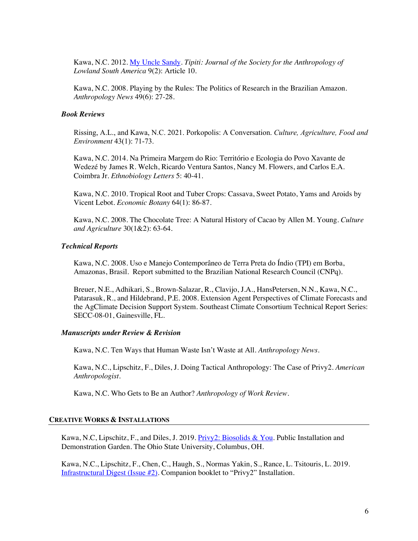Kawa, N.C. 2012. My Uncle Sandy. *Tipiti: Journal of the Society for the Anthropology of Lowland South America* 9(2): Article 10.

Kawa, N.C. 2008. Playing by the Rules: The Politics of Research in the Brazilian Amazon. *Anthropology News* 49(6): 27-28.

### *Book Reviews*

Rissing, A.L., and Kawa, N.C. 2021. Porkopolis: A Conversation. *Culture, Agriculture, Food and Environment* 43(1): 71-73.

Kawa, N.C. 2014. Na Primeira Margem do Rio: Território e Ecologia do Povo Xavante de Wedezé by James R. Welch, Ricardo Ventura Santos, Nancy M. Flowers, and Carlos E.A. Coimbra Jr. *Ethnobiology Letters* 5: 40-41.

Kawa, N.C. 2010. Tropical Root and Tuber Crops: Cassava, Sweet Potato, Yams and Aroids by Vicent Lebot. *Economic Botany* 64(1): 86-87.

Kawa, N.C. 2008. The Chocolate Tree: A Natural History of Cacao by Allen M. Young. *Culture and Agriculture* 30(1&2): 63-64.

### *Technical Reports*

Kawa, N.C. 2008. Uso e Manejo Contemporâneo de Terra Preta do Índio (TPI) em Borba, Amazonas, Brasil. Report submitted to the Brazilian National Research Council (CNPq).

Breuer, N.E., Adhikari, S., Brown-Salazar, R., Clavijo, J.A., HansPetersen, N.N., Kawa, N.C., Patarasuk, R., and Hildebrand, P.E. 2008. Extension Agent Perspectives of Climate Forecasts and the AgClimate Decision Support System. Southeast Climate Consortium Technical Report Series: SECC-08-01, Gainesville, FL.

### *Manuscripts under Review & Revision*

Kawa, N.C. Ten Ways that Human Waste Isn't Waste at All. *Anthropology News.*

Kawa, N.C., Lipschitz, F., Diles, J. Doing Tactical Anthropology: The Case of Privy2. *American Anthropologist.*

Kawa, N.C. Who Gets to Be an Author? *Anthropology of Work Review*.

### **CREATIVE WORKS & INSTALLATIONS**

Kawa, N.C, Lipschitz, F., and Diles, J. 2019. Privy2: Biosolids & You. Public Installation and Demonstration Garden. The Ohio State University, Columbus, OH.

Kawa, N.C., Lipschitz, F., Chen, C., Haugh, S., Normas Yakin, S., Rance, L. Tsitouris, L. 2019. Infrastructural Digest (Issue #2). Companion booklet to "Privy2" Installation.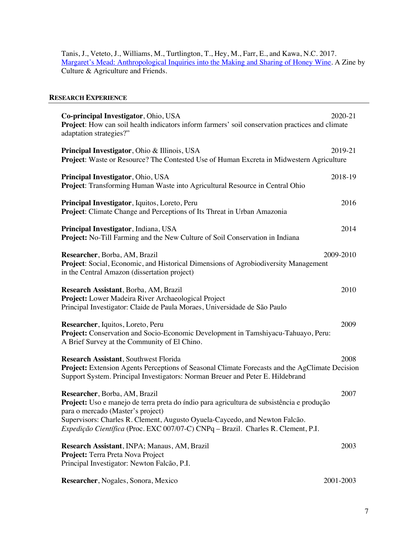Tanis, J., Veteto, J., Williams, M., Turtlington, T., Hey, M., Farr, E., and Kawa, N.C. 2017. Margaret's Mead: Anthropological Inquiries into the Making and Sharing of Honey Wine. A Zine by Culture & Agriculture and Friends.

# **RESEARCH EXPERIENCE**

| Co-principal Investigator, Ohio, USA<br><b>Project:</b> How can soil health indicators inform farmers' soil conservation practices and climate<br>adaptation strategies?"                                                                                                                                                           | 2020-21   |
|-------------------------------------------------------------------------------------------------------------------------------------------------------------------------------------------------------------------------------------------------------------------------------------------------------------------------------------|-----------|
| Principal Investigator, Ohio & Illinois, USA<br><b>Project:</b> Waste or Resource? The Contested Use of Human Excreta in Midwestern Agriculture                                                                                                                                                                                     | 2019-21   |
| Principal Investigator, Ohio, USA<br>Project: Transforming Human Waste into Agricultural Resource in Central Ohio                                                                                                                                                                                                                   | 2018-19   |
| Principal Investigator, Iquitos, Loreto, Peru<br><b>Project:</b> Climate Change and Perceptions of Its Threat in Urban Amazonia                                                                                                                                                                                                     | 2016      |
| Principal Investigator, Indiana, USA<br><b>Project:</b> No-Till Farming and the New Culture of Soil Conservation in Indiana                                                                                                                                                                                                         | 2014      |
| Researcher, Borba, AM, Brazil<br>Project: Social, Economic, and Historical Dimensions of Agrobiodiversity Management<br>in the Central Amazon (dissertation project)                                                                                                                                                                | 2009-2010 |
| Research Assistant, Borba, AM, Brazil<br>Project: Lower Madeira River Archaeological Project<br>Principal Investigator: Claide de Paula Moraes, Universidade de São Paulo                                                                                                                                                           | 2010      |
| Researcher, Iquitos, Loreto, Peru<br>Project: Conservation and Socio-Economic Development in Tamshiyacu-Tahuayo, Peru:<br>A Brief Survey at the Community of El Chino.                                                                                                                                                              | 2009      |
| <b>Research Assistant, Southwest Florida</b><br>Project: Extension Agents Perceptions of Seasonal Climate Forecasts and the AgClimate Decision<br>Support System. Principal Investigators: Norman Breuer and Peter E. Hildebrand                                                                                                    | 2008      |
| Researcher, Borba, AM, Brazil<br>Project: Uso e manejo de terra preta do índio para agricultura de subsistência e produção<br>para o mercado (Master's project)<br>Supervisors: Charles R. Clement, Augusto Oyuela-Caycedo, and Newton Falcão.<br>Expedição Científica (Proc. EXC 007/07-C) CNPq - Brazil. Charles R. Clement, P.I. | 2007      |
| Research Assistant, INPA; Manaus, AM, Brazil<br>Project: Terra Preta Nova Project<br>Principal Investigator: Newton Falcão, P.I.                                                                                                                                                                                                    | 2003      |
| Researcher, Nogales, Sonora, Mexico                                                                                                                                                                                                                                                                                                 | 2001-2003 |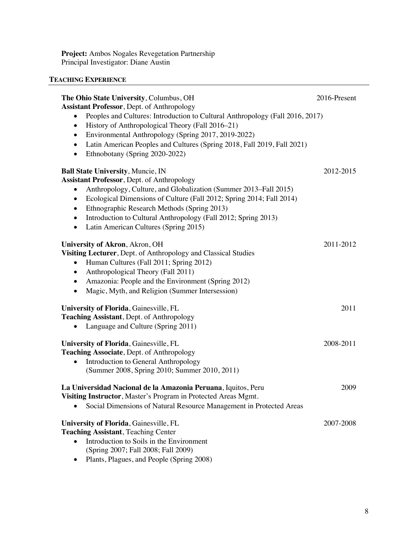**Project:** Ambos Nogales Revegetation Partnership Principal Investigator: Diane Austin

# **TEACHING EXPERIENCE**

| The Ohio State University, Columbus, OH<br><b>Assistant Professor, Dept. of Anthropology</b>                                                                                                                                                                                                                                                                                                                                                    | 2016-Present |
|-------------------------------------------------------------------------------------------------------------------------------------------------------------------------------------------------------------------------------------------------------------------------------------------------------------------------------------------------------------------------------------------------------------------------------------------------|--------------|
| Peoples and Cultures: Introduction to Cultural Anthropology (Fall 2016, 2017)<br>$\bullet$<br>History of Anthropological Theory (Fall 2016–21)<br>$\bullet$<br>Environmental Anthropology (Spring 2017, 2019-2022)<br>٠<br>Latin American Peoples and Cultures (Spring 2018, Fall 2019, Fall 2021)<br>$\bullet$<br>Ethnobotany (Spring 2020-2022)<br>$\bullet$                                                                                  |              |
| <b>Ball State University, Muncie, IN</b><br><b>Assistant Professor, Dept. of Anthropology</b><br>Anthropology, Culture, and Globalization (Summer 2013–Fall 2015)<br>Ecological Dimensions of Culture (Fall 2012; Spring 2014; Fall 2014)<br>$\bullet$<br>Ethnographic Research Methods (Spring 2013)<br>٠<br>Introduction to Cultural Anthropology (Fall 2012; Spring 2013)<br>$\bullet$<br>Latin American Cultures (Spring 2015)<br>$\bullet$ | 2012-2015    |
| <b>University of Akron, Akron, OH</b><br>Visiting Lecturer, Dept. of Anthropology and Classical Studies<br>Human Cultures (Fall 2011; Spring 2012)<br>Anthropological Theory (Fall 2011)<br>$\bullet$<br>Amazonia: People and the Environment (Spring 2012)<br>٠<br>Magic, Myth, and Religion (Summer Intersession)                                                                                                                             | 2011-2012    |
| University of Florida, Gainesville, FL<br>Teaching Assistant, Dept. of Anthropology<br>Language and Culture (Spring 2011)                                                                                                                                                                                                                                                                                                                       | 2011         |
| University of Florida, Gainesville, FL<br>Teaching Associate, Dept. of Anthropology<br>Introduction to General Anthropology<br>(Summer 2008, Spring 2010; Summer 2010, 2011)                                                                                                                                                                                                                                                                    | 2008-2011    |
| La Universidad Nacional de la Amazonia Peruana, Iquitos, Peru<br>Visiting Instructor, Master's Program in Protected Areas Mgmt.<br>Social Dimensions of Natural Resource Management in Protected Areas                                                                                                                                                                                                                                          | 2009         |
| University of Florida, Gainesville, FL<br><b>Teaching Assistant, Teaching Center</b><br>Introduction to Soils in the Environment<br>(Spring 2007; Fall 2008; Fall 2009)<br>Plants, Plagues, and People (Spring 2008)                                                                                                                                                                                                                            | 2007-2008    |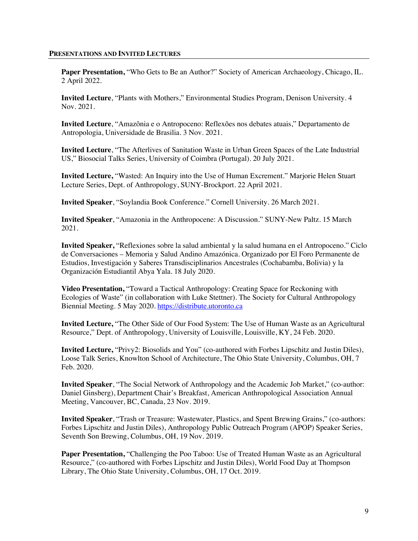### **PRESENTATIONS AND INVITED LECTURES**

Paper Presentation, "Who Gets to Be an Author?" Society of American Archaeology, Chicago, IL. 2 April 2022.

**Invited Lecture**, "Plants with Mothers," Environmental Studies Program, Denison University. 4 Nov. 2021.

**Invited Lecture**, "Amazônia e o Antropoceno: Reflexões nos debates atuais," Departamento de Antropologia, Universidade de Brasilia. 3 Nov. 2021.

**Invited Lecture**, "The Afterlives of Sanitation Waste in Urban Green Spaces of the Late Industrial US," Biosocial Talks Series, University of Coimbra (Portugal). 20 July 2021.

**Invited Lecture,** "Wasted: An Inquiry into the Use of Human Excrement." Marjorie Helen Stuart Lecture Series, Dept. of Anthropology, SUNY-Brockport. 22 April 2021.

**Invited Speaker**, "Soylandia Book Conference." Cornell University. 26 March 2021.

**Invited Speaker**, "Amazonia in the Anthropocene: A Discussion." SUNY-New Paltz. 15 March 2021.

**Invited Speaker,** "Reflexiones sobre la salud ambiental y la salud humana en el Antropoceno." Ciclo de Conversaciones – Memoria y Salud Andino Amazónica. Organizado por El Foro Permanente de Estudios, Investigación y Saberes Transdisciplinarios Ancestrales (Cochabamba, Bolivia) y la Organización Estudiantil Abya Yala. 18 July 2020.

**Video Presentation,** "Toward a Tactical Anthropology: Creating Space for Reckoning with Ecologies of Waste" (in collaboration with Luke Stettner). The Society for Cultural Anthropology Biennial Meeting. 5 May 2020. https://distribute.utoronto.ca

**Invited Lecture,** "The Other Side of Our Food System: The Use of Human Waste as an Agricultural Resource," Dept. of Anthropology, University of Louisville, Louisville, KY, 24 Feb. 2020.

**Invited Lecture,** "Privy2: Biosolids and You" (co-authored with Forbes Lipschitz and Justin Diles), Loose Talk Series, Knowlton School of Architecture, The Ohio State University, Columbus, OH, 7 Feb. 2020.

**Invited Speaker**, "The Social Network of Anthropology and the Academic Job Market," (co-author: Daniel Ginsberg), Department Chair's Breakfast, American Anthropological Association Annual Meeting, Vancouver, BC, Canada, 23 Nov. 2019.

**Invited Speaker**, "Trash or Treasure: Wastewater, Plastics, and Spent Brewing Grains," (co-authors: Forbes Lipschitz and Justin Diles), Anthropology Public Outreach Program (APOP) Speaker Series, Seventh Son Brewing, Columbus, OH, 19 Nov. 2019.

**Paper Presentation,** "Challenging the Poo Taboo: Use of Treated Human Waste as an Agricultural Resource," (co-authored with Forbes Lipschitz and Justin Diles), World Food Day at Thompson Library, The Ohio State University, Columbus, OH, 17 Oct. 2019.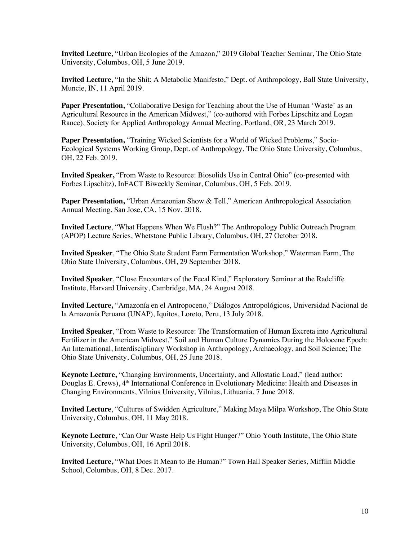**Invited Lecture**, "Urban Ecologies of the Amazon," 2019 Global Teacher Seminar, The Ohio State University, Columbus, OH, 5 June 2019.

**Invited Lecture,** "In the Shit: A Metabolic Manifesto," Dept. of Anthropology, Ball State University, Muncie, IN, 11 April 2019.

**Paper Presentation, "Collaborative Design for Teaching about the Use of Human 'Waste' as an** Agricultural Resource in the American Midwest," (co-authored with Forbes Lipschitz and Logan Rance), Society for Applied Anthropology Annual Meeting, Portland, OR, 23 March 2019.

**Paper Presentation, "Training Wicked Scientists for a World of Wicked Problems," Socio-**Ecological Systems Working Group, Dept. of Anthropology, The Ohio State University, Columbus, OH, 22 Feb. 2019.

**Invited Speaker,** "From Waste to Resource: Biosolids Use in Central Ohio" (co-presented with Forbes Lipschitz), InFACT Biweekly Seminar, Columbus, OH, 5 Feb. 2019.

**Paper Presentation, "Urban Amazonian Show & Tell," American Anthropological Association** Annual Meeting, San Jose, CA, 15 Nov. 2018.

**Invited Lecture**, "What Happens When We Flush?" The Anthropology Public Outreach Program (APOP) Lecture Series, Whetstone Public Library, Columbus, OH, 27 October 2018.

**Invited Speaker**, "The Ohio State Student Farm Fermentation Workshop," Waterman Farm, The Ohio State University, Columbus, OH, 29 September 2018.

**Invited Speaker**, "Close Encounters of the Fecal Kind," Exploratory Seminar at the Radcliffe Institute, Harvard University, Cambridge, MA, 24 August 2018.

**Invited Lecture,** "Amazonía en el Antropoceno," Diálogos Antropológicos, Universidad Nacional de la Amazonía Peruana (UNAP), Iquitos, Loreto, Peru, 13 July 2018.

**Invited Speaker**, "From Waste to Resource: The Transformation of Human Excreta into Agricultural Fertilizer in the American Midwest," Soil and Human Culture Dynamics During the Holocene Epoch: An International, Interdisciplinary Workshop in Anthropology, Archaeology, and Soil Science; The Ohio State University, Columbus, OH, 25 June 2018.

**Keynote Lecture,** "Changing Environments, Uncertainty, and Allostatic Load," (lead author: Douglas E. Crews), 4<sup>th</sup> International Conference in Evolutionary Medicine: Health and Diseases in Changing Environments, Vilnius University, Vilnius, Lithuania, 7 June 2018.

**Invited Lecture**, "Cultures of Swidden Agriculture," Making Maya Milpa Workshop, The Ohio State University, Columbus, OH, 11 May 2018.

**Keynote Lecture**, "Can Our Waste Help Us Fight Hunger?" Ohio Youth Institute, The Ohio State University, Columbus, OH, 16 April 2018.

**Invited Lecture,** "What Does It Mean to Be Human?" Town Hall Speaker Series, Mifflin Middle School, Columbus, OH, 8 Dec. 2017.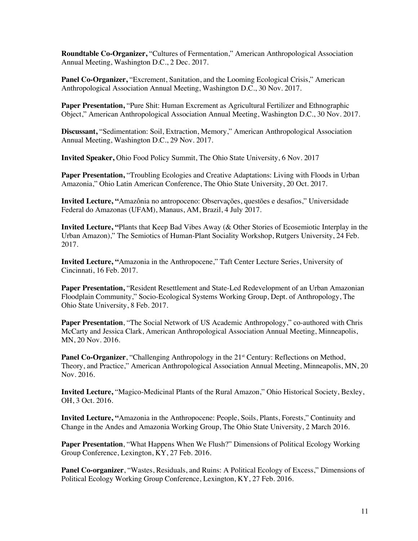**Roundtable Co-Organizer,** "Cultures of Fermentation," American Anthropological Association Annual Meeting, Washington D.C., 2 Dec. 2017.

**Panel Co-Organizer,** "Excrement, Sanitation, and the Looming Ecological Crisis," American Anthropological Association Annual Meeting, Washington D.C., 30 Nov. 2017.

**Paper Presentation,** "Pure Shit: Human Excrement as Agricultural Fertilizer and Ethnographic Object," American Anthropological Association Annual Meeting, Washington D.C., 30 Nov. 2017.

**Discussant,** "Sedimentation: Soil, Extraction, Memory," American Anthropological Association Annual Meeting, Washington D.C., 29 Nov. 2017.

**Invited Speaker,** Ohio Food Policy Summit, The Ohio State University, 6 Nov. 2017

**Paper Presentation,** "Troubling Ecologies and Creative Adaptations: Living with Floods in Urban Amazonia," Ohio Latin American Conference, The Ohio State University, 20 Oct. 2017.

**Invited Lecture, "**Amazônia no antropoceno: Observações, questões e desafios," Universidade Federal do Amazonas (UFAM), Manaus, AM, Brazil, 4 July 2017.

**Invited Lecture, "**Plants that Keep Bad Vibes Away (& Other Stories of Ecosemiotic Interplay in the Urban Amazon)," The Semiotics of Human-Plant Sociality Workshop, Rutgers University, 24 Feb. 2017.

**Invited Lecture, "**Amazonia in the Anthropocene," Taft Center Lecture Series, University of Cincinnati, 16 Feb. 2017.

**Paper Presentation, "Resident Resettlement and State-Led Redevelopment of an Urban Amazonian** Floodplain Community," Socio-Ecological Systems Working Group, Dept. of Anthropology, The Ohio State University, 8 Feb. 2017.

**Paper Presentation**, "The Social Network of US Academic Anthropology," co-authored with Chris McCarty and Jessica Clark, American Anthropological Association Annual Meeting, Minneapolis, MN, 20 Nov. 2016.

Panel Co-Organizer, "Challenging Anthropology in the 21<sup>st</sup> Century: Reflections on Method, Theory, and Practice," American Anthropological Association Annual Meeting, Minneapolis, MN, 20 Nov. 2016.

**Invited Lecture,** "Magico-Medicinal Plants of the Rural Amazon," Ohio Historical Society, Bexley, OH, 3 Oct. 2016.

**Invited Lecture, "**Amazonia in the Anthropocene: People, Soils, Plants, Forests," Continuity and Change in the Andes and Amazonia Working Group, The Ohio State University, 2 March 2016.

**Paper Presentation**, "What Happens When We Flush?" Dimensions of Political Ecology Working Group Conference, Lexington, KY, 27 Feb. 2016.

**Panel Co-organizer**, "Wastes, Residuals, and Ruins: A Political Ecology of Excess," Dimensions of Political Ecology Working Group Conference, Lexington, KY, 27 Feb. 2016.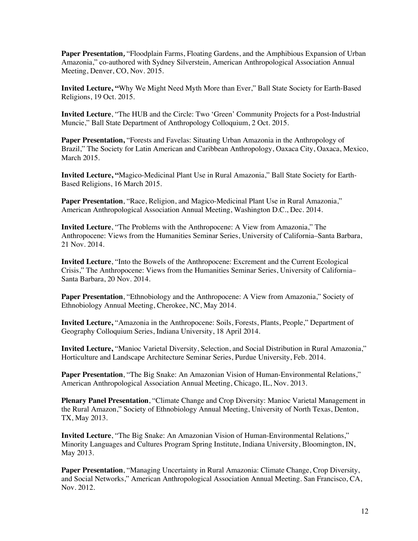**Paper Presentation***,* "Floodplain Farms, Floating Gardens, and the Amphibious Expansion of Urban Amazonia," co-authored with Sydney Silverstein, American Anthropological Association Annual Meeting, Denver, CO, Nov. 2015.

**Invited Lecture, "**Why We Might Need Myth More than Ever," Ball State Society for Earth-Based Religions, 19 Oct. 2015.

**Invited Lecture**, "The HUB and the Circle: Two 'Green' Community Projects for a Post-Industrial Muncie," Ball State Department of Anthropology Colloquium, 2 Oct. 2015.

**Paper Presentation, "Forests and Favelas: Situating Urban Amazonia in the Anthropology of** Brazil," The Society for Latin American and Caribbean Anthropology, Oaxaca City, Oaxaca, Mexico, March 2015.

**Invited Lecture, "**Magico-Medicinal Plant Use in Rural Amazonia," Ball State Society for Earth-Based Religions, 16 March 2015.

**Paper Presentation**, "Race, Religion, and Magico-Medicinal Plant Use in Rural Amazonia," American Anthropological Association Annual Meeting, Washington D.C., Dec. 2014.

**Invited Lecture**, "The Problems with the Anthropocene: A View from Amazonia," The Anthropocene: Views from the Humanities Seminar Series, University of California–Santa Barbara, 21 Nov. 2014.

**Invited Lecture**, "Into the Bowels of the Anthropocene: Excrement and the Current Ecological Crisis," The Anthropocene: Views from the Humanities Seminar Series, University of California– Santa Barbara, 20 Nov. 2014.

Paper Presentation, "Ethnobiology and the Anthropocene: A View from Amazonia," Society of Ethnobiology Annual Meeting, Cherokee, NC, May 2014.

**Invited Lecture,** "Amazonia in the Anthropocene: Soils, Forests, Plants, People," Department of Geography Colloquium Series, Indiana University, 18 April 2014.

**Invited Lecture,** "Manioc Varietal Diversity, Selection, and Social Distribution in Rural Amazonia," Horticulture and Landscape Architecture Seminar Series, Purdue University, Feb. 2014.

**Paper Presentation**, "The Big Snake: An Amazonian Vision of Human-Environmental Relations," American Anthropological Association Annual Meeting, Chicago, IL, Nov. 2013.

**Plenary Panel Presentation**, "Climate Change and Crop Diversity: Manioc Varietal Management in the Rural Amazon," Society of Ethnobiology Annual Meeting, University of North Texas, Denton, TX, May 2013.

**Invited Lecture**, "The Big Snake: An Amazonian Vision of Human-Environmental Relations," Minority Languages and Cultures Program Spring Institute, Indiana University, Bloomington, IN, May 2013.

**Paper Presentation**, "Managing Uncertainty in Rural Amazonia: Climate Change, Crop Diversity, and Social Networks," American Anthropological Association Annual Meeting. San Francisco, CA, Nov. 2012.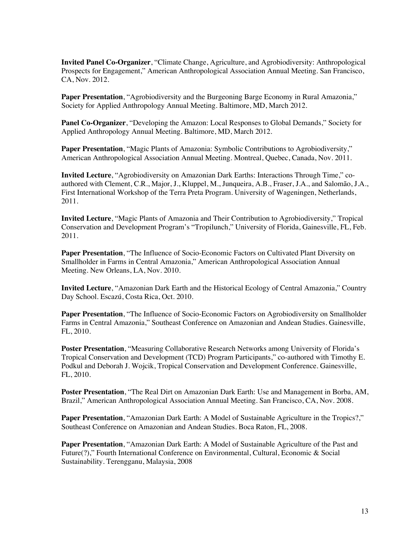**Invited Panel Co-Organizer**, "Climate Change, Agriculture, and Agrobiodiversity: Anthropological Prospects for Engagement," American Anthropological Association Annual Meeting. San Francisco, CA, Nov. 2012.

**Paper Presentation**, "Agrobiodiversity and the Burgeoning Barge Economy in Rural Amazonia," Society for Applied Anthropology Annual Meeting. Baltimore, MD, March 2012.

**Panel Co-Organizer**, "Developing the Amazon: Local Responses to Global Demands," Society for Applied Anthropology Annual Meeting. Baltimore, MD, March 2012.

**Paper Presentation**, "Magic Plants of Amazonia: Symbolic Contributions to Agrobiodiversity," American Anthropological Association Annual Meeting. Montreal, Quebec, Canada, Nov. 2011.

**Invited Lecture**, "Agrobiodiversity on Amazonian Dark Earths: Interactions Through Time," coauthored with Clement, C.R., Major, J., Kluppel, M., Junqueira, A.B., Fraser, J.A., and Salomão, J.A., First International Workshop of the Terra Preta Program. University of Wageningen, Netherlands, 2011.

**Invited Lecture**, "Magic Plants of Amazonia and Their Contribution to Agrobiodiversity," Tropical Conservation and Development Program's "Tropilunch," University of Florida, Gainesville, FL, Feb. 2011.

**Paper Presentation**, "The Influence of Socio-Economic Factors on Cultivated Plant Diversity on Smallholder in Farms in Central Amazonia," American Anthropological Association Annual Meeting. New Orleans, LA, Nov. 2010.

**Invited Lecture**, "Amazonian Dark Earth and the Historical Ecology of Central Amazonia," Country Day School. Escazú, Costa Rica, Oct. 2010.

**Paper Presentation**, "The Influence of Socio-Economic Factors on Agrobiodiversity on Smallholder Farms in Central Amazonia," Southeast Conference on Amazonian and Andean Studies. Gainesville, FL, 2010.

**Poster Presentation**, "Measuring Collaborative Research Networks among University of Florida's Tropical Conservation and Development (TCD) Program Participants," co-authored with Timothy E. Podkul and Deborah J. Wojcik, Tropical Conservation and Development Conference. Gainesville, FL, 2010.

**Poster Presentation**, "The Real Dirt on Amazonian Dark Earth: Use and Management in Borba, AM, Brazil," American Anthropological Association Annual Meeting. San Francisco, CA, Nov. 2008.

**Paper Presentation**, "Amazonian Dark Earth: A Model of Sustainable Agriculture in the Tropics?," Southeast Conference on Amazonian and Andean Studies. Boca Raton, FL, 2008.

**Paper Presentation**, "Amazonian Dark Earth: A Model of Sustainable Agriculture of the Past and Future(?)," Fourth International Conference on Environmental, Cultural, Economic & Social Sustainability. Terengganu, Malaysia, 2008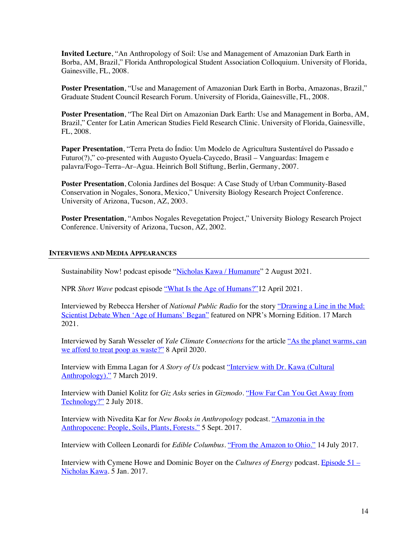**Invited Lecture**, "An Anthropology of Soil: Use and Management of Amazonian Dark Earth in Borba, AM, Brazil," Florida Anthropological Student Association Colloquium. University of Florida, Gainesville, FL, 2008.

**Poster Presentation**, "Use and Management of Amazonian Dark Earth in Borba, Amazonas, Brazil," Graduate Student Council Research Forum. University of Florida, Gainesville, FL, 2008.

**Poster Presentation**, "The Real Dirt on Amazonian Dark Earth: Use and Management in Borba, AM, Brazil," Center for Latin American Studies Field Research Clinic. University of Florida, Gainesville, FL, 2008.

**Paper Presentation**, "Terra Preta do Índio: Um Modelo de Agricultura Sustentável do Passado e Futuro(?)," co-presented with Augusto Oyuela-Caycedo, Brasil – Vanguardas: Imagem e palavra/Fogo–Terra–Ar–Agua. Heinrich Boll Stiftung, Berlin, Germany, 2007.

**Poster Presentation**, Colonia Jardines del Bosque: A Case Study of Urban Community-Based Conservation in Nogales, Sonora, Mexico," University Biology Research Project Conference. University of Arizona, Tucson, AZ, 2003.

**Poster Presentation**, "Ambos Nogales Revegetation Project," University Biology Research Project Conference. University of Arizona, Tucson, AZ, 2002.

# **INTERVIEWS AND MEDIA APPEARANCES**

Sustainability Now! podcast episode "Nicholas Kawa / Humanure" 2 August 2021.

NPR *Short Wave* podcast episode "What Is the Age of Humans?"12 April 2021.

Interviewed by Rebecca Hersher of *National Public Radio* for the story "Drawing a Line in the Mud: Scientist Debate When 'Age of Humans' Began" featured on NPR's Morning Edition. 17 March 2021.

Interviewed by Sarah Wesseler of *Yale Climate Connections* for the article "As the planet warms, can we afford to treat poop as waste?" 8 April 2020.

Interview with Emma Lagan for *A Story of Us* podcast "Interview with Dr. Kawa (Cultural Anthropology)." 7 March 2019.

Interview with Daniel Kolitz for *Giz Asks* series in *Gizmodo*. "How Far Can You Get Away from Technology?" 2 July 2018.

Interview with Nivedita Kar for *New Books in Anthropology* podcast. "Amazonia in the Anthropocene: People, Soils, Plants, Forests." 5 Sept. 2017.

Interview with Colleen Leonardi for *Edible Columbus*. "From the Amazon to Ohio." 14 July 2017.

Interview with Cymene Howe and Dominic Boyer on the *Cultures of Energy* podcast. Episode 51 – Nicholas Kawa. 5 Jan. 2017.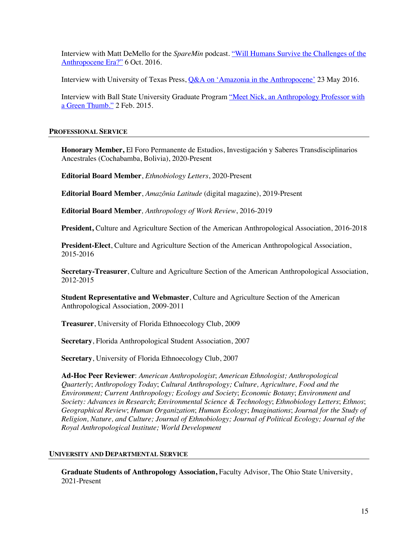Interview with Matt DeMello for the *SpareMin* podcast. "Will Humans Survive the Challenges of the Anthropocene Era?" 6 Oct. 2016.

Interview with University of Texas Press, Q&A on 'Amazonia in the Anthropocene' 23 May 2016.

Interview with Ball State University Graduate Program "Meet Nick, an Anthropology Professor with a Green Thumb." 2 Feb. 2015.

# **PROFESSIONAL SERVICE**

**Honorary Member,** El Foro Permanente de Estudios, Investigación y Saberes Transdisciplinarios Ancestrales (Cochabamba, Bolivia), 2020-Present

**Editorial Board Member**, *Ethnobiology Letters*, 2020-Present

**Editorial Board Member**, *Amazônia Latitude* (digital magazine), 2019-Present

**Editorial Board Member***, Anthropology of Work Review*, 2016-2019

**President,** Culture and Agriculture Section of the American Anthropological Association, 2016-2018

**President-Elect**, Culture and Agriculture Section of the American Anthropological Association, 2015-2016

**Secretary-Treasurer**, Culture and Agriculture Section of the American Anthropological Association, 2012-2015

**Student Representative and Webmaster**, Culture and Agriculture Section of the American Anthropological Association, 2009-2011

**Treasurer**, University of Florida Ethnoecology Club, 2009

**Secretary**, Florida Anthropological Student Association, 2007

**Secretary**, University of Florida Ethnoecology Club, 2007

**Ad-Hoc Peer Reviewer**: *American Anthropologist*; *American Ethnologist; Anthropological Quarterly*; *Anthropology Today*; *Cultural Anthropology; Culture, Agriculture, Food and the Environment; Current Anthropology; Ecology and Society*; *Economic Botany*; *Environment and Society: Advances in Research*; *Environmental Science & Technology*; *Ethnobiology Letters*; *Ethnos*; *Geographical Review*; *Human Organization*; *Human Ecology*; *Imaginations*; *Journal for the Study of Religion, Nature, and Culture; Journal of Ethnobiology; Journal of Political Ecology; Journal of the Royal Anthropological Institute; World Development*

# **UNIVERSITY AND DEPARTMENTAL SERVICE**

**Graduate Students of Anthropology Association,** Faculty Advisor, The Ohio State University, 2021-Present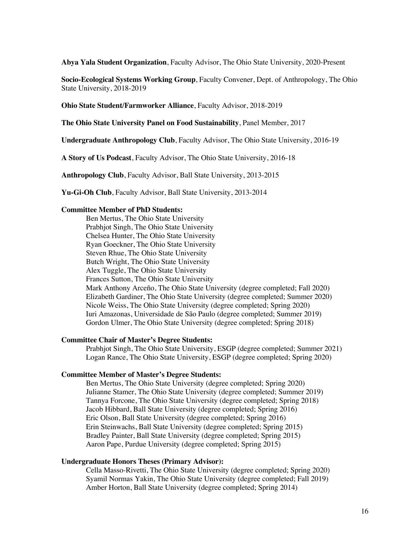**Abya Yala Student Organization**, Faculty Advisor, The Ohio State University, 2020-Present

**Socio-Ecological Systems Working Group**, Faculty Convener, Dept. of Anthropology, The Ohio State University, 2018-2019

**Ohio State Student/Farmworker Alliance**, Faculty Advisor, 2018-2019

**The Ohio State University Panel on Food Sustainability**, Panel Member, 2017

**Undergraduate Anthropology Club**, Faculty Advisor, The Ohio State University, 2016-19

**A Story of Us Podcast**, Faculty Advisor, The Ohio State University, 2016-18

**Anthropology Club**, Faculty Advisor, Ball State University, 2013-2015

**Yu-Gi-Oh Club**, Faculty Advisor, Ball State University, 2013-2014

### **Committee Member of PhD Students:**

Ben Mertus, The Ohio State University Prabhjot Singh, The Ohio State University Chelsea Hunter, The Ohio State University Ryan Goeckner, The Ohio State University Steven Rhue, The Ohio State University Butch Wright, The Ohio State University Alex Tuggle, The Ohio State University Frances Sutton, The Ohio State University Mark Anthony Arceño, The Ohio State University (degree completed; Fall 2020) Elizabeth Gardiner, The Ohio State University (degree completed; Summer 2020) Nicole Weiss, The Ohio State University (degree completed; Spring 2020) Iuri Amazonas, Universidade de São Paulo (degree completed; Summer 2019) Gordon Ulmer, The Ohio State University (degree completed; Spring 2018)

### **Committee Chair of Master's Degree Students:**

Prabhjot Singh, The Ohio State University, ESGP (degree completed; Summer 2021) Logan Rance, The Ohio State University, ESGP (degree completed; Spring 2020)

#### **Committee Member of Master's Degree Students:**

Ben Mertus, The Ohio State University (degree completed; Spring 2020) Julianne Stamer, The Ohio State University (degree completed; Summer 2019) Tannya Forcone, The Ohio State University (degree completed; Spring 2018) Jacob Hibbard, Ball State University (degree completed; Spring 2016) Eric Olson, Ball State University (degree completed; Spring 2016) Erin Steinwachs, Ball State University (degree completed; Spring 2015) Bradley Painter, Ball State University (degree completed; Spring 2015) Aaron Pape, Purdue University (degree completed; Spring 2015)

# **Undergraduate Honors Theses (Primary Advisor):**

Cella Masso-Rivetti, The Ohio State University (degree completed; Spring 2020) Syamil Normas Yakin, The Ohio State University (degree completed; Fall 2019) Amber Horton, Ball State University (degree completed; Spring 2014)